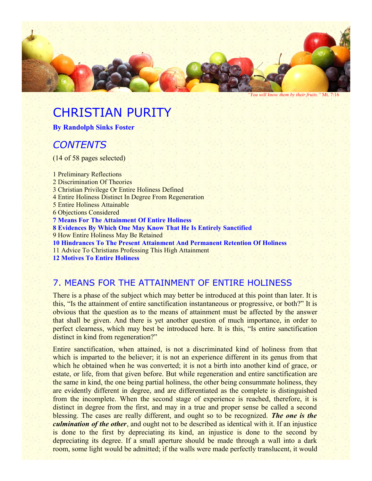

*"You will know them by their fruits."* Mt. 7:16

# CHRISTIAN PURITY

**By Randolph Sinks Foster**

## *CONTENTS*

(14 of 58 pages selected)

1 Preliminary Reflections 2 Discrimination Of Theories 3 Christian Privilege Or Entire Holiness Defined 4 Entire Holiness Distinct In Degree From Regeneration 5 Entire Holiness Attainable 6 Objections Considered **7 Means For The Attainment Of Entire Holiness 8 Evidences By Which One May Know That He Is Entirely Sanctified** 9 How Entire Holiness May Be Retained **10 Hindrances To The Present Attainment And Permanent Retention Of Holiness** 11 Advice To Christians Professing This High Attainment

**12 Motives To Entire Holiness**

#### 7. MEANS FOR THE ATTAINMENT OF ENTIRE HOLINESS

There is a phase of the subject which may better be introduced at this point than later. It is this, "Is the attainment of entire sanctification instantaneous or progressive, or both?" It is obvious that the question as to the means of attainment must be affected by the answer that shall be given. And there is yet another question of much importance, in order to perfect clearness, which may best be introduced here. It is this, "Is entire sanctification distinct in kind from regeneration?"

Entire sanctification, when attained, is not a discriminated kind of holiness from that which is imparted to the believer; it is not an experience different in its genus from that which he obtained when he was converted; it is not a birth into another kind of grace, or estate, or life, from that given before. But while regeneration and entire sanctification are the same in kind, the one being partial holiness, the other being consummate holiness, they are evidently different in degree, and are differentiated as the complete is distinguished from the incomplete. When the second stage of experience is reached, therefore, it is distinct in degree from the first, and may in a true and proper sense be called a second blessing. The cases are really different, and ought so to be recognized. *The one is the culmination of the other*, and ought not to be described as identical with it. If an injustice is done to the first by depreciating its kind, an injustice is done to the second by depreciating its degree. If a small aperture should be made through a wall into a dark room, some light would be admitted; if the walls were made perfectly translucent, it would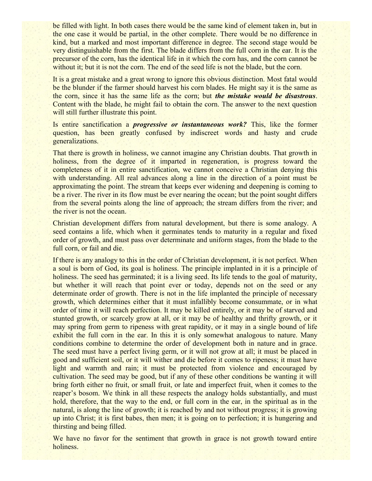be filled with light. In both cases there would be the same kind of element taken in, but in the one case it would be partial, in the other complete. There would be no difference in kind, but a marked and most important difference in degree. The second stage would be very distinguishable from the first. The blade differs from the full corn in the ear. It is the precursor of the corn, has the identical life in it which the corn has, and the corn cannot be without it; but it is not the corn. The end of the seed life is not the blade, but the corn.

It is a great mistake and a great wrong to ignore this obvious distinction. Most fatal would be the blunder if the farmer should harvest his corn blades. He might say it is the same as the corn, since it has the same life as the corn; but *the mistake would be disastrous*. Content with the blade, he might fail to obtain the corn. The answer to the next question will still further illustrate this point.

Is entire sanctification a *progressive or instantaneous work?* This, like the former question, has been greatly confused by indiscreet words and hasty and crude generalizations.

That there is growth in holiness, we cannot imagine any Christian doubts. That growth in holiness, from the degree of it imparted in regeneration, is progress toward the completeness of it in entire sanctification, we cannot conceive a Christian denying this with understanding. All real advances along a line in the direction of a point must be approximating the point. The stream that keeps ever widening and deepening is coming to be a river. The river in its flow must be ever nearing the ocean; but the point sought differs from the several points along the line of approach; the stream differs from the river; and the river is not the ocean.

Christian development differs from natural development, but there is some analogy. A seed contains a life, which when it germinates tends to maturity in a regular and fixed order of growth, and must pass over determinate and uniform stages, from the blade to the full corn, or fail and die.

If there is any analogy to this in the order of Christian development, it is not perfect. When a soul is born of God, its goal is holiness. The principle implanted in it is a principle of holiness. The seed has germinated; it is a living seed. Its life tends to the goal of maturity, but whether it will reach that point ever or today, depends not on the seed or any determinate order of growth. There is not in the life implanted the principle of necessary growth, which determines either that it must infallibly become consummate, or in what order of time it will reach perfection. It may be killed entirely, or it may be of starved and stunted growth, or scarcely grow at all, or it may be of healthy and thrifty growth, or it may spring from germ to ripeness with great rapidity, or it may in a single bound of life exhibit the full corn in the ear. In this it is only somewhat analogous to nature. Many conditions combine to determine the order of development both in nature and in grace. The seed must have a perfect living germ, or it will not grow at all; it must be placed in good and sufficient soil, or it will wither and die before it comes to ripeness; it must have light and warmth and rain; it must be protected from violence and encouraged by cultivation. The seed may be good, but if any of these other conditions be wanting it will bring forth either no fruit, or small fruit, or late and imperfect fruit, when it comes to the reaper's bosom. We think in all these respects the analogy holds substantially, and must hold, therefore, that the way to the end, or full corn in the ear, in the spiritual as in the natural, is along the line of growth; it is reached by and not without progress; it is growing up into Christ; it is first babes, then men; it is going on to perfection; it is hungering and thirsting and being filled.

We have no favor for the sentiment that growth in grace is not growth toward entire holiness.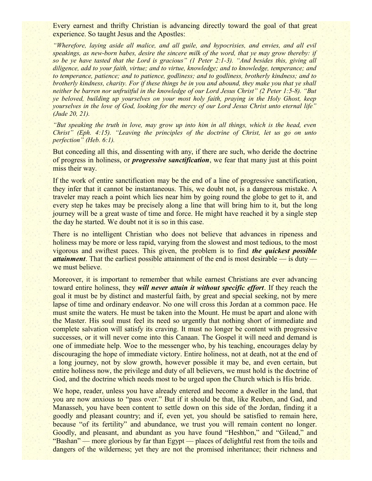Every earnest and thrifty Christian is advancing directly toward the goal of that great experience. So taught Jesus and the Apostles:

*"Wherefore, laying aside all malice, and all guile, and hypocrisies, and envies, and all evil speakings, as new-born babes, desire the sincere milk of the word, that ye may grow thereby: if so be ye have tasted that the Lord is gracious" (1 Peter 2:1-3). "And besides this, giving all diligence, add to your faith, virtue; and to virtue, knowledge; and to knowledge, temperance; and to temperance, patience; and to patience, godliness; and to godliness, brotherly kindness; and to brotherly kindness, charity. For if these things be in you and abound, they make you that ye shall neither be barren nor unfruitful in the knowledge of our Lord Jesus Christ" (2 Peter 1:5-8). "But ye beloved, building up yourselves on your most holy faith, praying in the Holy Ghost, keep yourselves in the love of God, looking for the mercy of our Lord Jesus Christ unto eternal life" (Jude 20, 21).*

*"But speaking the truth in love, may grow up into him in all things, which is the head, even Christ" (Eph. 4:15). "Leaving the principles of the doctrine of Christ, let us go on unto perfection" (Heb. 6:1).*

But conceding all this, and dissenting with any, if there are such, who deride the doctrine of progress in holiness, or *progressive sanctification*, we fear that many just at this point miss their way.

If the work of entire sanctification may be the end of a line of progressive sanctification, they infer that it cannot be instantaneous. This, we doubt not, is a dangerous mistake. A traveler may reach a point which lies near him by going round the globe to get to it, and every step he takes may be precisely along a line that will bring him to it, but the long journey will be a great waste of time and force. He might have reached it by a single step the day he started. We doubt not it is so in this case.

There is no intelligent Christian who does not believe that advances in ripeness and holiness may be more or less rapid, varying from the slowest and most tedious, to the most vigorous and swiftest paces. This given, the problem is to find *the quickest possible attainment*. That the earliest possible attainment of the end is most desirable — is duty we must believe.

Moreover, it is important to remember that while earnest Christians are ever advancing toward entire holiness, they *will never attain it without specific effort*. If they reach the goal it must be by distinct and masterful faith, by great and special seeking, not by mere lapse of time and ordinary endeavor. No one will cross this Jordan at a common pace. He must smite the waters. He must be taken into the Mount. He must be apart and alone with the Master. His soul must feel its need so urgently that nothing short of immediate and complete salvation will satisfy its craving. It must no longer be content with progressive successes, or it will never come into this Canaan. The Gospel it will need and demand is one of immediate help. Woe to the messenger who, by his teaching, encourages delay by discouraging the hope of immediate victory. Entire holiness, not at death, not at the end of a long journey, not by slow growth, however possible it may be, and even certain, but entire holiness now, the privilege and duty of all believers, we must hold is the doctrine of God, and the doctrine which needs most to be urged upon the Church which is His bride.

We hope, reader, unless you have already entered and become a dweller in the land, that you are now anxious to "pass over." But if it should be that, like Reuben, and Gad, and Manasseh, you have been content to settle down on this side of the Jordan, finding it a goodly and pleasant country; and if, even yet, you should be satisfied to remain here, because "of its fertility" and abundance, we trust you will remain content no longer. Goodly, and pleasant, and abundant as you have found "Heshbon," and "Gilead," and "Bashan" — more glorious by far than Egypt — places of delightful rest from the toils and dangers of the wilderness; yet they are not the promised inheritance; their richness and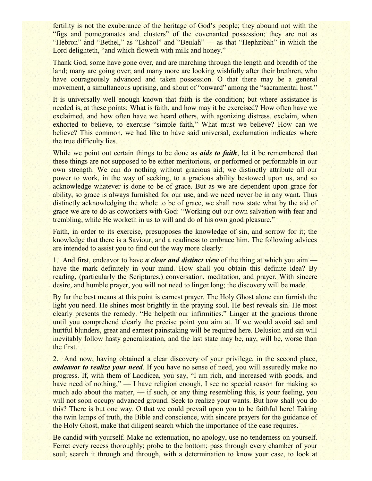fertility is not the exuberance of the heritage of God's people; they abound not with the "figs and pomegranates and clusters" of the covenanted possession; they are not as "Hebron" and "Bethel," as "Eshcol" and "Beulah" — as that "Hephzibah" in which the Lord delighteth, "and which floweth with milk and honey."

Thank God, some have gone over, and are marching through the length and breadth of the land; many are going over; and many more are looking wishfully after their brethren, who have courageously advanced and taken possession. O that there may be a general movement, a simultaneous uprising, and shout of "onward" among the "sacramental host."

It is universally well enough known that faith is the condition; but where assistance is needed is, at these points; What is faith, and how may it be exercised? How often have we exclaimed, and how often have we heard others, with agonizing distress, exclaim, when exhorted to believe, to exercise "simple faith," What must we believe? How can we believe? This common, we had like to have said universal, exclamation indicates where the true difficulty lies.

While we point out certain things to be done as *aids to faith*, let it be remembered that these things are not supposed to be either meritorious, or performed or performable in our own strength. We can do nothing without gracious aid; we distinctly attribute all our power to work, in the way of seeking, to a gracious ability bestowed upon us, and so acknowledge whatever is done to be of grace. But as we are dependent upon grace for ability, so grace is always furnished for our use, and we need never be in any want. Thus distinctly acknowledging the whole to be of grace, we shall now state what by the aid of grace we are to do as coworkers with God: "Working out our own salvation with fear and trembling, while He worketh in us to will and do of his own good pleasure."

Faith, in order to its exercise, presupposes the knowledge of sin, and sorrow for it; the knowledge that there is a Saviour, and a readiness to embrace him. The following advices are intended to assist you to find out the way more clearly:

1. And first, endeavor to have *a clear and distinct view* of the thing at which you aim have the mark definitely in your mind. How shall you obtain this definite idea? By reading, (particularly the Scriptures,) conversation, meditation, and prayer. With sincere desire, and humble prayer, you will not need to linger long; the discovery will be made.

By far the best means at this point is earnest prayer. The Holy Ghost alone can furnish the light you need. He shines most brightly in the praying soul. He best reveals sin. He most clearly presents the remedy. "He helpeth our infirmities." Linger at the gracious throne until you comprehend clearly the precise point you aim at. If we would avoid sad and hurtful blunders, great and earnest painstaking will be required here. Delusion and sin will inevitably follow hasty generalization, and the last state may be, nay, will be, worse than the first.

2. And now, having obtained a clear discovery of your privilege, in the second place, *endeavor to realize your need*. If you have no sense of need, you will assuredly make no progress. If, with them of Laodicea, you say, "I am rich, and increased with goods, and have need of nothing," — I have religion enough, I see no special reason for making so much ado about the matter, — if such, or any thing resembling this, is your feeling, you will not soon occupy advanced ground. Seek to realize your wants. But how shall you do this? There is but one way. O that we could prevail upon you to be faithful here! Taking the twin lamps of truth, the Bible and conscience, with sincere prayers for the guidance of the Holy Ghost, make that diligent search which the importance of the case requires.

Be candid with yourself. Make no extenuation, no apology, use no tenderness on yourself. Ferret every recess thoroughly; probe to the bottom; pass through every chamber of your soul; search it through and through, with a determination to know your case, to look at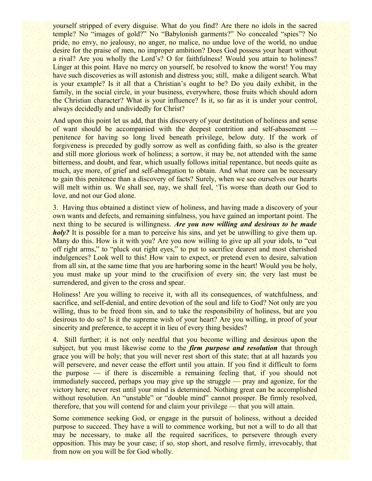yourself stripped of every disguise. What do you find? Are there no idols in the sacred temple? No "images of gold?" No "Babylonish garments?" No concealed "spies"? No pride, no envy, no jealousy, no anger, no malice, no undue love of the world, no undue desire for the praise of men, no improper ambition? Does God possess your heart without a rival? Are you wholly the Lord's? O for faithfulness! Would you attain to holiness? Linger at this point. Have no mercy on yourself, be resolved to know the worst! You may have such discoveries as will astonish and distress you; still, make a diligent search. What is your example? Is it all that a Christian's ought to be? Do you daily exhibit, in the family, in the social circle, in your business, everywhere, those fruits which should adorn the Christian character? What is your influence? Is it, so far as it is under your control, always decidedly and undividedly for Christ?

And upon this point let us add, that this discovery of your destitution of holiness and sense of want should be accompanied with the deepest contrition and self-abasement penitence for having so long lived beneath privilege, below duty. If the work of forgiveness is preceded by godly sorrow as well as confiding faith, so also is the greater and still more glorious work of holiness; a sorrow, it may be, not attended with the same bitterness, and doubt, and fear, which usually follows initial repentance, but needs quite as much, aye more, of grief and self-abnegation to obtain. And what more can be necessary to gain this penitence than a discovery of facts? Surely, when we see ourselves our hearts will melt within us. We shall see, nay, we shall feel, 'Tis worse than death our God to love, and not our God alone.

3. Having thus obtained a distinct view of holiness, and having made a discovery of your own wants and defects, and remaining sinfulness, you have gained an important point. The next thing to be secured is willingness. *Are you now willing and desirous to be made holy?* It is possible for a man to perceive his sins, and yet be unwilling to give them up. Many do this. How is it with you? Are you now willing to give up all your idols, to "cut off right arms," to "pluck out right eyes," to put to sacrifice dearest and most cherished indulgences? Look well to this! How vain to expect, or pretend even to desire, salvation from all sin, at the same time that you are harboring some in the heart! Would you be holy, you must make up your mind to the crucifixion of every sin; the very last must be surrendered, and given to the cross and spear.

Holiness! Are you willing to receive it, with all its consequences, of watchfulness, and sacrifice, and self-denial, and entire devotion of the soul and life to God? Not only are you willing, thus to be freed from sin, and to take the responsibility of holiness, but are you desirous to do so? Is it the supreme wish of your heart? Are you willing, in proof of your sincerity and preference, to accept it in lieu of every thing besides?

4. Still further; it is not only needful that you become willing and desirous upon the subject, but you must likewise come to the *firm purpose and resolution* that through grace you will be holy; that you will never rest short of this state; that at all hazards you will persevere, and never cease the effort until you attain. If you find it difficult to form the purpose — if there is discernible a remaining feeling that, if you should not immediately succeed, perhaps you may give up the struggle — pray and agonize, for the victory here; never rest until your mind is determined. Nothing great can be accomplished without resolution. An "unstable" or "double mind" cannot prosper. Be firmly resolved, therefore, that you will contend for and claim your privilege — that you will attain.

Some commence seeking God, or engage in the pursuit of holiness, without a decided purpose to succeed. They have a will to commence working, but not a will to do all that may be necessary, to make all the required sacrifices, to persevere through every opposition. This may be your case; if so, stop short, and resolve firmly, irrevocably, that from now on you will be for God wholly.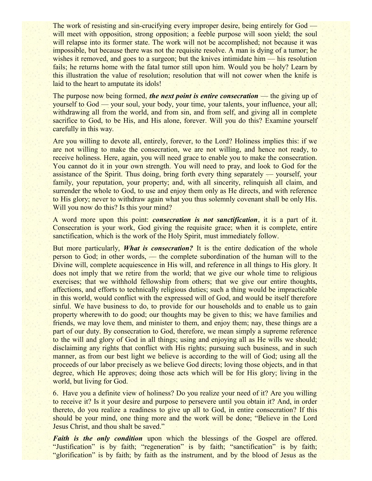The work of resisting and sin-crucifying every improper desire, being entirely for God will meet with opposition, strong opposition; a feeble purpose will soon yield; the soul will relapse into its former state. The work will not be accomplished; not because it was impossible, but because there was not the requisite resolve. A man is dying of a tumor; he wishes it removed, and goes to a surgeon; but the knives intimidate him — his resolution fails; he returns home with the fatal tumor still upon him. Would you be holy? Learn by this illustration the value of resolution; resolution that will not cower when the knife is laid to the heart to amputate its idols!

The purpose now being formed, *the next point is entire consecration* — the giving up of yourself to God — your soul, your body, your time, your talents, your influence, your all; withdrawing all from the world, and from sin, and from self, and giving all in complete sacrifice to God, to be His, and His alone, forever. Will you do this? Examine yourself carefully in this way.

Are you willing to devote all, entirely, forever, to the Lord? Holiness implies this: if we are not willing to make the consecration, we are not willing, and hence not ready, to receive holiness. Here, again, you will need grace to enable you to make the consecration. You cannot do it in your own strength. You will need to pray, and look to God for the assistance of the Spirit. Thus doing, bring forth every thing separately — yourself, your family, your reputation, your property; and, with all sincerity, relinquish all claim, and surrender the whole to God, to use and enjoy them only as He directs, and with reference to His glory; never to withdraw again what you thus solemnly covenant shall be only His. Will you now do this? Is this your mind?

A word more upon this point: *consecration is not sanctification*, it is a part of it. Consecration is your work, God giving the requisite grace; when it is complete, entire sanctification, which is the work of the Holy Spirit, must immediately follow.

But more particularly, **What is consecration?** It is the entire dedication of the whole person to God; in other words, — the complete subordination of the human will to the Divine will, complete acquiescence in His will, and reference in all things to His glory. It does not imply that we retire from the world; that we give our whole time to religious exercises; that we withhold fellowship from others; that we give our entire thoughts, affections, and efforts to technically religious duties; such a thing would be impracticable in this world, would conflict with the expressed will of God, and would be itself therefore sinful. We have business to do, to provide for our households and to enable us to gain property wherewith to do good; our thoughts may be given to this; we have families and friends, we may love them, and minister to them, and enjoy them; nay, these things are a part of our duty. By consecration to God, therefore, we mean simply a supreme reference to the will and glory of God in all things; using and enjoying all as He wills we should; disclaiming any rights that conflict with His rights; pursuing such business, and in such manner, as from our best light we believe is according to the will of God; using all the proceeds of our labor precisely as we believe God directs; loving those objects, and in that degree, which He approves; doing those acts which will be for His glory; living in the world, but living for God.

6. Have you a definite view of holiness? Do you realize your need of it? Are you willing to receive it? Is it your desire and purpose to persevere until you obtain it? And, in order thereto, do you realize a readiness to give up all to God, in entire consecration? If this should be your mind, one thing more and the work will be done; "Believe in the Lord Jesus Christ, and thou shalt be saved."

*Faith is the only condition* upon which the blessings of the Gospel are offered. "Justification" is by faith; "regeneration" is by faith; "sanctification" is by faith; "glorification" is by faith; by faith as the instrument, and by the blood of Jesus as the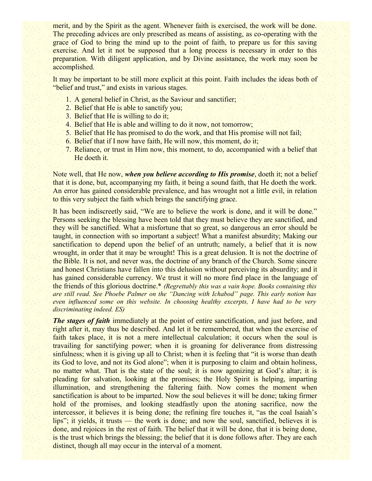merit, and by the Spirit as the agent. Whenever faith is exercised, the work will be done. The preceding advices are only prescribed as means of assisting, as co-operating with the grace of God to bring the mind up to the point of faith, to prepare us for this saving exercise. And let it not be supposed that a long process is necessary in order to this preparation. With diligent application, and by Divine assistance, the work may soon be accomplished.

It may be important to be still more explicit at this point. Faith includes the ideas both of "belief and trust," and exists in various stages.

- 1. A general belief in Christ, as the Saviour and sanctifier;
- 2. Belief that He is able to sanctify you;
- 3. Belief that He is willing to do it;
- 4. Belief that He is able and willing to do it now, not tomorrow;
- 5. Belief that He has promised to do the work, and that His promise will not fail;
- 6. Belief that if I now have faith, He will now, this moment, do it;
- 7. Reliance, or trust in Him now, this moment, to do, accompanied with a belief that He doeth it.

Note well, that He now, *when you believe according to His promise*, doeth it; not a belief that it is done, but, accompanying my faith, it being a sound faith, that He doeth the work. An error has gained considerable prevalence, and has wrought not a little evil, in relation to this very subject the faith which brings the sanctifying grace.

It has been indiscreetly said, "We are to believe the work is done, and it will be done." Persons seeking the blessing have been told that they must believe they are sanctified, and they will be sanctified. What a misfortune that so great, so dangerous an error should be taught, in connection with so important a subject! What a manifest absurdity; Making our sanctification to depend upon the belief of an untruth; namely, a belief that it is now wrought, in order that it may be wrought! This is a great delusion. It is not the doctrine of the Bible. It is not, and never was, the doctrine of any branch of the Church. Some sincere and honest Christians have fallen into this delusion without perceiving its absurdity; and it has gained considerable currency. We trust it will no more find place in the language of the friends of this glorious doctrine.\* *(Regrettably this was a vain hope. Books containing this are still read. See Phoebe Palmer on the "Dancing with Ichabod" page. This early notion has even influenced some on this website. In choosing healthy excerpts, I have had to be very discriminating indeed. ES)*

*The stages of faith* immediately at the point of entire sanctification, and just before, and right after it, may thus be described. And let it be remembered, that when the exercise of faith takes place, it is not a mere intellectual calculation; it occurs when the soul is travailing for sanctifying power; when it is groaning for deliverance from distressing sinfulness; when it is giving up all to Christ; when it is feeling that "it is worse than death" its God to love, and not its God alone"; when it is purposing to claim and obtain holiness, no matter what. That is the state of the soul; it is now agonizing at God's altar; it is pleading for salvation, looking at the promises; the Holy Spirit is helping, imparting illumination, and strengthening the faltering faith. Now comes the moment when sanctification is about to be imparted. Now the soul believes it will be done; taking firmer hold of the promises, and looking steadfastly upon the atoning sacrifice, now the intercessor, it believes it is being done; the refining fire touches it, "as the coal Isaiah's lips"; it yields, it trusts — the work is done; and now the soul, sanctified, believes it is done, and rejoices in the rest of faith. The belief that it will be done, that it is being done, is the trust which brings the blessing; the belief that it is done follows after. They are each distinct, though all may occur in the interval of a moment.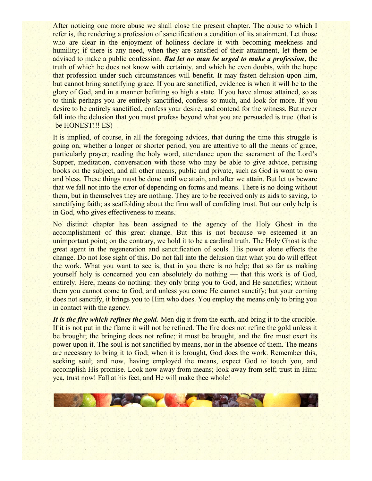After noticing one more abuse we shall close the present chapter. The abuse to which I refer is, the rendering a profession of sanctification a condition of its attainment. Let those who are clear in the enjoyment of holiness declare it with becoming meekness and humility; if there is any need, when they are satisfied of their attainment, let them be advised to make a public confession. *But let no man be urged to make a profession*, the truth of which he does not know with certainty, and which he even doubts, with the hope that profession under such circumstances will benefit. It may fasten delusion upon him, but cannot bring sanctifying grace. If you are sanctified, evidence is when it will be to the glory of God, and in a manner befitting so high a state. If you have almost attained, so as to think perhaps you are entirely sanctified, confess so much, and look for more. If you desire to be entirely sanctified, confess your desire, and contend for the witness. But never fall into the delusion that you must profess beyond what you are persuaded is true. (that is -be HONEST!!! ES)

It is implied, of course, in all the foregoing advices, that during the time this struggle is going on, whether a longer or shorter period, you are attentive to all the means of grace, particularly prayer, reading the holy word, attendance upon the sacrament of the Lord's Supper, meditation, conversation with those who may be able to give advice, perusing books on the subject, and all other means, public and private, such as God is wont to own and bless. These things must be done until we attain, and after we attain. But let us beware that we fall not into the error of depending on forms and means. There is no doing without them, but in themselves they are nothing. They are to be received only as aids to saving, to sanctifying faith; as scaffolding about the firm wall of confiding trust. But our only help is in God, who gives effectiveness to means.

No distinct chapter has been assigned to the agency of the Holy Ghost in the accomplishment of this great change. But this is not because we esteemed it an unimportant point; on the contrary, we hold it to be a cardinal truth. The Holy Ghost is the great agent in the regeneration and sanctification of souls. His power alone effects the change. Do not lose sight of this. Do not fall into the delusion that what you do will effect the work. What you want to see is, that in you there is no help; that so far as making yourself holy is concerned you can absolutely do nothing — that this work is of God, entirely. Here, means do nothing: they only bring you to God, and He sanctifies; without them you cannot come to God, and unless you come He cannot sanctify; but your coming does not sanctify, it brings you to Him who does. You employ the means only to bring you in contact with the agency.

*It is the fire which refines the gold.* Men dig it from the earth, and bring it to the crucible. If it is not put in the flame it will not be refined. The fire does not refine the gold unless it be brought; the bringing does not refine; it must be brought, and the fire must exert its power upon it. The soul is not sanctified by means, nor in the absence of them. The means are necessary to bring it to God; when it is brought, God does the work. Remember this, seeking soul; and now, having employed the means, expect God to touch you, and accomplish His promise. Look now away from means; look away from self; trust in Him; yea, trust now! Fall at his feet, and He will make thee whole!

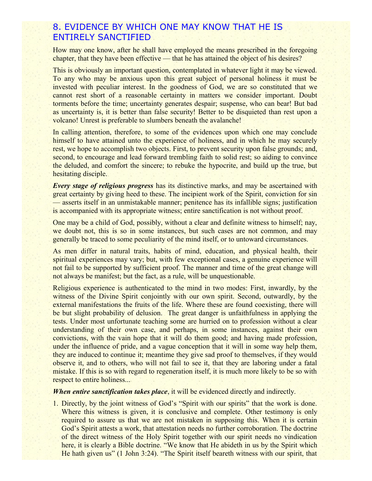#### 8. EVIDENCE BY WHICH ONE MAY KNOW THAT HE IS ENTIRELY SANCTIFIED

How may one know, after he shall have employed the means prescribed in the foregoing chapter, that they have been effective — that he has attained the object of his desires?

This is obviously an important question, contemplated in whatever light it may be viewed. To any who may be anxious upon this great subject of personal holiness it must be invested with peculiar interest. In the goodness of God, we are so constituted that we cannot rest short of a reasonable certainty in matters we consider important. Doubt torments before the time; uncertainty generates despair; suspense, who can bear! But bad as uncertainty is, it is better than false security! Better to be disquieted than rest upon a volcano! Unrest is preferable to slumbers beneath the avalanche!

In calling attention, therefore, to some of the evidences upon which one may conclude himself to have attained unto the experience of holiness, and in which he may securely rest, we hope to accomplish two objects. First, to prevent security upon false grounds; and, second, to encourage and lead forward trembling faith to solid rest; so aiding to convince the deluded, and comfort the sincere; to rebuke the hypocrite, and build up the true, but hesitating disciple.

*Every stage of religious progress* has its distinctive marks, and may be ascertained with great certainty by giving heed to these. The incipient work of the Spirit, conviction for sin — asserts itself in an unmistakable manner; penitence has its infallible signs; justification is accompanied with its appropriate witness; entire sanctification is not without proof.

One may be a child of God, possibly, without a clear and definite witness to himself; nay, we doubt not, this is so in some instances, but such cases are not common, and may generally be traced to some peculiarity of the mind itself, or to untoward circumstances.

As men differ in natural traits, habits of mind, education, and physical health, their spiritual experiences may vary; but, with few exceptional cases, a genuine experience will not fail to be supported by sufficient proof. The manner and time of the great change will not always be manifest; but the fact, as a rule, will be unquestionable.

Religious experience is authenticated to the mind in two modes: First, inwardly, by the witness of the Divine Spirit conjointly with our own spirit. Second, outwardly, by the external manifestations the fruits of the life. Where these are found coexisting, there will be but slight probability of delusion. The great danger is unfaithfulness in applying the tests. Under most unfortunate teaching some are hurried on to profession without a clear understanding of their own case, and perhaps, in some instances, against their own convictions, with the vain hope that it will do them good; and having made profession, under the influence of pride, and a vague conception that it will in some way help them, they are induced to continue it; meantime they give sad proof to themselves, if they would observe it, and to others, who will not fail to see it, that they are laboring under a fatal mistake. If this is so with regard to regeneration itself, it is much more likely to be so with respect to entire holiness...

*When entire sanctification takes place*, it will be evidenced directly and indirectly.

1. Directly, by the joint witness of God's "Spirit with our spirits" that the work is done. Where this witness is given, it is conclusive and complete. Other testimony is only required to assure us that we are not mistaken in supposing this. When it is certain God's Spirit attests a work, that attestation needs no further corroboration. The doctrine of the direct witness of the Holy Spirit together with our spirit needs no vindication here, it is clearly a Bible doctrine. "We know that He abideth in us by the Spirit which He hath given us" (1 John 3:24). "The Spirit itself beareth witness with our spirit, that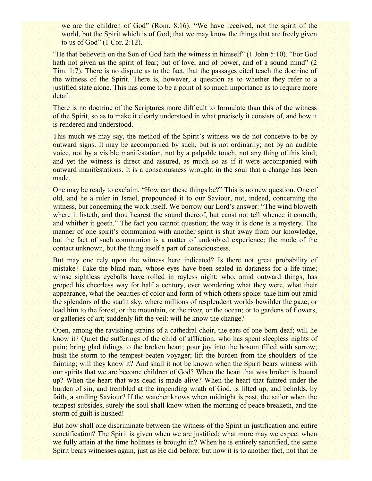we are the children of God" (Rom. 8:16). "We have received, not the spirit of the world, but the Spirit which is of God; that we may know the things that are freely given to us of God" (1 Cor. 2:12).

"He that believeth on the Son of God hath the witness in himself" (1 John 5:10). "For God hath not given us the spirit of fear; but of love, and of power, and of a sound mind" (2) Tim. 1:7). There is no dispute as to the fact, that the passages cited teach the doctrine of the witness of the Spirit. There is, however, a question as to whether they refer to a justified state alone. This has come to be a point of so much importance as to require more detail.

There is no doctrine of the Scriptures more difficult to formulate than this of the witness of the Spirit, so as to make it clearly understood in what precisely it consists of, and how it is rendered and understood.

This much we may say, the method of the Spirit's witness we do not conceive to be by outward signs. It may be accompanied by such, but is not ordinarily; not by an audible voice, not by a visible manifestation, not by a palpable touch, not any thing of this kind; and yet the witness is direct and assured, as much so as if it were accompanied with outward manifestations. It is a consciousness wrought in the soul that a change has been made.

One may be ready to exclaim, "How can these things be?" This is no new question. One of old, and he a ruler in Israel, propounded it to our Saviour, not, indeed, concerning the witness, but concerning the work itself. We borrow our Lord's answer: "The wind bloweth where it listeth, and thou hearest the sound thereof, but canst not tell whence it cometh, and whither it goeth." The fact you cannot question; the way it is done is a mystery. The manner of one spirit's communion with another spirit is shut away from our knowledge, but the fact of such communion is a matter of undoubted experience; the mode of the contact unknown, but the thing itself a part of consciousness.

But may one rely upon the witness here indicated? Is there not great probability of mistake? Take the blind man, whose eyes have been sealed in darkness for a life-time; whose sightless eyeballs have rolled in rayless night; who, amid outward things, has groped his cheerless way for half a century, ever wondering what they were, what their appearance, what the beauties of color and form of which others spoke: take him out amid the splendors of the starlit sky, where millions of resplendent worlds bewilder the gaze; or lead him to the forest, or the mountain, or the river, or the ocean; or to gardens of flowers, or galleries of art; suddenly lift the veil: will he know the change?

Open, among the ravishing strains of a cathedral choir, the ears of one born deaf; will he know it? Quiet the sufferings of the child of affliction, who has spent sleepless nights of pain; bring glad tidings to the broken heart; pour joy into the bosom filled with sorrow; hush the storm to the tempest-beaten voyager; lift the burden from the shoulders of the fainting; will they know it? And shall it not be known when the Spirit bears witness with our spirits that we are become children of God? When the heart that was broken is bound up? When the heart that was dead is made alive? When the heart that fainted under the burden of sin, and trembled at the impending wrath of God, is lifted up, and beholds, by faith, a smiling Saviour? If the watcher knows when midnight is past, the sailor when the tempest subsides, surely the soul shall know when the morning of peace breaketh, and the storm of guilt is hushed!

But how shall one discriminate between the witness of the Spirit in justification and entire sanctification? The Spirit is given when we are justified; what more may we expect when we fully attain at the time holiness is brought in? When he is entirely sanctified, the same Spirit bears witnesses again, just as He did before; but now it is to another fact, not that he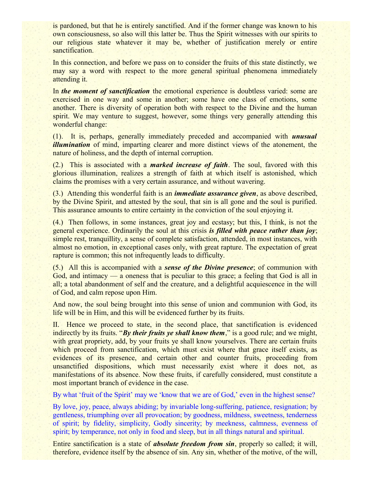is pardoned, but that he is entirely sanctified. And if the former change was known to his own consciousness, so also will this latter be. Thus the Spirit witnesses with our spirits to our religious state whatever it may be, whether of justification merely or entire sanctification.

In this connection, and before we pass on to consider the fruits of this state distinctly, we may say a word with respect to the more general spiritual phenomena immediately attending it.

In *the moment of sanctification* the emotional experience is doubtless varied: some are exercised in one way and some in another; some have one class of emotions, some another. There is diversity of operation both with respect to the Divine and the human spirit. We may venture to suggest, however, some things very generally attending this wonderful change:

(1). It is, perhaps, generally immediately preceded and accompanied with *unusual illumination* of mind, imparting clearer and more distinct views of the atonement, the nature of holiness, and the depth of internal corruption.

(2.) This is associated with a *marked increase of faith*. The soul, favored with this glorious illumination, realizes a strength of faith at which itself is astonished, which claims the promises with a very certain assurance, and without wavering.

(3.) Attending this wonderful faith is an *immediate assurance given*, as above described, by the Divine Spirit, and attested by the soul, that sin is all gone and the soul is purified. This assurance amounts to entire certainty in the conviction of the soul enjoying it.

(4.) Then follows, in some instances, great joy and ecstasy; but this, I think, is not the general experience. Ordinarily the soul at this crisis *is filled with peace rather than joy*; simple rest, tranquillity, a sense of complete satisfaction, attended, in most instances, with almost no emotion, in exceptional cases only, with great rapture. The expectation of great rapture is common; this not infrequently leads to difficulty.

(5.) All this is accompanied with a *sense of the Divine presence*; of communion with God, and intimacy — a oneness that is peculiar to this grace; a feeling that God is all in all; a total abandonment of self and the creature, and a delightful acquiescence in the will of God, and calm repose upon Him.

And now, the soul being brought into this sense of union and communion with God, its life will be in Him, and this will be evidenced further by its fruits.

II. Hence we proceed to state, in the second place, that sanctification is evidenced indirectly by its fruits. "*By their fruits ye shall know them*," is a good rule; and we might, with great propriety, add, by your fruits ye shall know yourselves. There are certain fruits which proceed from sanctification, which must exist where that grace itself exists, as evidences of its presence, and certain other and counter fruits, proceeding from unsanctified dispositions, which must necessarily exist where it does not, as manifestations of its absence. Now these fruits, if carefully considered, must constitute a most important branch of evidence in the case.

By what 'fruit of the Spirit' may we 'know that we are of God,' even in the highest sense?

By love, joy, peace, always abiding; by invariable long-suffering, patience, resignation; by gentleness, triumphing over all provocation; by goodness, mildness, sweetness, tenderness of spirit; by fidelity, simplicity, Godly sincerity; by meekness, calmness, evenness of spirit; by temperance, not only in food and sleep, but in all things natural and spiritual.

Entire sanctification is a state of *absolute freedom from sin*, properly so called; it will, therefore, evidence itself by the absence of sin. Any sin, whether of the motive, of the will,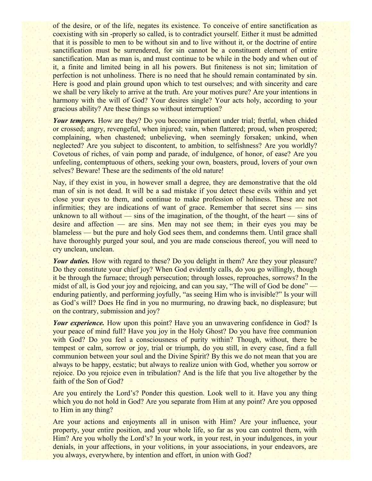of the desire, or of the life, negates its existence. To conceive of entire sanctification as coexisting with sin -properly so called, is to contradict yourself. Either it must be admitted that it is possible to men to be without sin and to live without it, or the doctrine of entire sanctification must be surrendered, for sin cannot be a constituent element of entire sanctification. Man as man is, and must continue to be while in the body and when out of it, a finite and limited being in all his powers. But finiteness is not sin; limitation of perfection is not unholiness. There is no need that he should remain contaminated by sin. Here is good and plain ground upon which to test ourselves; and with sincerity and care we shall be very likely to arrive at the truth. Are your motives pure? Are your intentions in harmony with the will of God? Your desires single? Your acts holy, according to your gracious ability? Are these things so without interruption?

*Your tempers.* How are they? Do you become impatient under trial; fretful, when chided or crossed; angry, revengeful, when injured; vain, when flattered; proud, when prospered; complaining, when chastened; unbelieving, when seemingly forsaken; unkind, when neglected? Are you subject to discontent, to ambition, to selfishness? Are you worldly? Covetous of riches, of vain pomp and parade, of indulgence, of honor, of ease? Are you unfeeling, contemptuous of others, seeking your own, boasters, proud, lovers of your own selves? Beware! These are the sediments of the old nature!

Nay, if they exist in you, in however small a degree, they are demonstrative that the old man of sin is not dead. It will be a sad mistake if you detect these evils within and yet close your eyes to them, and continue to make profession of holiness. These are not infirmities; they are indications of want of grace. Remember that secret sins — sins unknown to all without — sins of the imagination, of the thought, of the heart — sins of desire and affection — are sins. Men may not see them; in their eyes you may be blameless — but the pure and holy God sees them, and condemns them. Until grace shall have thoroughly purged your soul, and you are made conscious thereof, you will need to cry unclean, unclean.

*Your duties.* How with regard to these? Do you delight in them? Are they your pleasure? Do they constitute your chief joy? When God evidently calls, do you go willingly, though it be through the furnace; through persecution; through losses, reproaches, sorrows? In the midst of all, is God your joy and rejoicing, and can you say, "The will of God be done" enduring patiently, and performing joyfully, "as seeing Him who is invisible?" Is your will as God's will? Does He find in you no murmuring, no drawing back, no displeasure; but on the contrary, submission and joy?

*Your experience.* How upon this point? Have you an unwavering confidence in God? Is your peace of mind full? Have you joy in the Holy Ghost? Do you have free communion with God? Do you feel a consciousness of purity within? Though, without, there be tempest or calm, sorrow or joy, trial or triumph, do you still, in every case, find a full communion between your soul and the Divine Spirit? By this we do not mean that you are always to be happy, ecstatic; but always to realize union with God, whether you sorrow or rejoice. Do you rejoice even in tribulation? And is the life that you live altogether by the faith of the Son of God?

Are you entirely the Lord's? Ponder this question. Look well to it. Have you any thing which you do not hold in God? Are you separate from Him at any point? Are you opposed to Him in any thing?

Are your actions and enjoyments all in unison with Him? Are your influence, your property, your entire position, and your whole life, so far as you can control them, with Him? Are you wholly the Lord's? In your work, in your rest, in your indulgences, in your denials, in your affections, in your volitions, in your associations, in your endeavors, are you always, everywhere, by intention and effort, in union with God?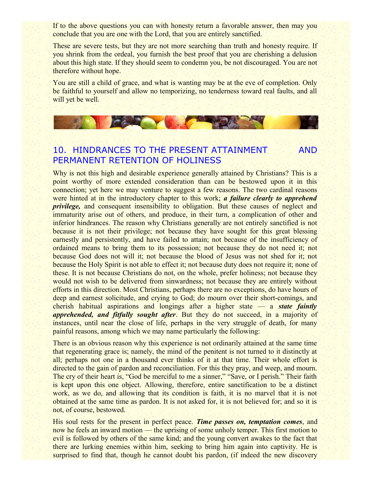If to the above questions you can with honesty return a favorable answer, then may you conclude that you are one with the Lord, that you are entirely sanctified.

These are severe tests, but they are not more searching than truth and honesty require. If you shrink from the ordeal, you furnish the best proof that you are cherishing a delusion about this high state. If they should seem to condemn you, be not discouraged. You are not therefore without hope.

You are still a child of grace, and what is wanting may be at the eve of completion. Only be faithful to yourself and allow no temporizing, no tenderness toward real faults, and all will yet be well.

# 10. HINDRANCES TO THE PRESENT ATTAINMENT AND PERMANENT RETENTION OF HOLINESS

**CAR THE REAL PROPERTY** 

Why is not this high and desirable experience generally attained by Christians? This is a point worthy of more extended consideration than can be bestowed upon it in this connection; yet here we may venture to suggest a few reasons. The two cardinal reasons were hinted at in the introductory chapter to this work; *a failure clearly to apprehend privilege*, and consequent insensibility to obligation. But these causes of neglect and immaturity arise out of others, and produce, in their turn, a complication of other and inferior hindrances. The reason why Christians generally are not entirely sanctified is not because it is not their privilege; not because they have sought for this great blessing earnestly and persistently, and have failed to attain; not because of the insufficiency of ordained means to bring them to its possession; not because they do not need it; not because God does not will it; not because the blood of Jesus was not shed for it; not because the Holy Spirit is not able to effect it; not because duty does not require it; none of these. It is not because Christians do not, on the whole, prefer holiness; not because they would not wish to be delivered from sinwardness; not because they are entirely without efforts in this direction. Most Christians, perhaps there are no exceptions, do have hours of deep and earnest solicitude, and crying to God; do mourn over their short-comings, and cherish habitual aspirations and longings after a higher state — a *state faintly apprehended, and fitfully sought after*. But they do not succeed, in a majority of instances, until near the close of life, perhaps in the very struggle of death, for many painful reasons, among which we may name particularly the following:

There is an obvious reason why this experience is not ordinarily attained at the same time that regenerating grace is; namely, the mind of the penitent is not turned to it distinctly at all; perhaps not one in a thousand ever thinks of it at that time. Their whole effort is directed to the gain of pardon and reconciliation. For this they pray, and weep, and mourn. The cry of their heart is, "God be merciful to me a sinner," "Save, or I perish." Their faith is kept upon this one object. Allowing, therefore, entire sanctification to be a distinct work, as we do, and allowing that its condition is faith, it is no marvel that it is not obtained at the same time as pardon. It is not asked for, it is not believed for; and so it is not, of course, bestowed.

His soul rests for the present in perfect peace. *Time passes on, temptation comes*, and now he feels an inward motion — the uprising of some unholy temper. This first motion to evil is followed by others of the same kind; and the young convert awakes to the fact that there are lurking enemies within him, seeking to bring him again into captivity. He is surprised to find that, though he cannot doubt his pardon, (if indeed the new discovery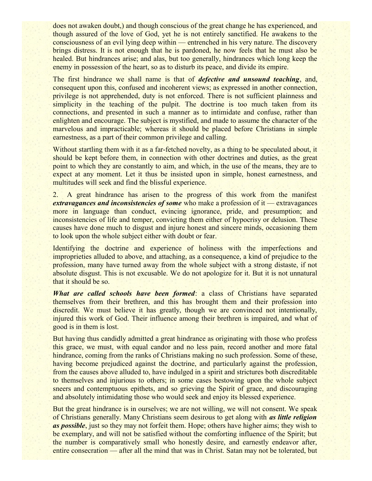does not awaken doubt,) and though conscious of the great change he has experienced, and though assured of the love of God, yet he is not entirely sanctified. He awakens to the consciousness of an evil lying deep within — entrenched in his very nature. The discovery brings distress. It is not enough that he is pardoned, he now feels that he must also be healed. But hindrances arise; and alas, but too generally, hindrances which long keep the enemy in possession of the heart, so as to disturb its peace, and divide its empire.

The first hindrance we shall name is that of *defective and unsound teaching*, and, consequent upon this, confused and incoherent views; as expressed in another connection, privilege is not apprehended, duty is not enforced. There is not sufficient plainness and simplicity in the teaching of the pulpit. The doctrine is too much taken from its connections, and presented in such a manner as to intimidate and confuse, rather than enlighten and encourage. The subject is mystified, and made to assume the character of the marvelous and impracticable; whereas it should be placed before Christians in simple earnestness, as a part of their common privilege and calling.

Without startling them with it as a far-fetched novelty, as a thing to be speculated about, it should be kept before them, in connection with other doctrines and duties, as the great point to which they are constantly to aim, and which, in the use of the means, they are to expect at any moment. Let it thus be insisted upon in simple, honest earnestness, and multitudes will seek and find the blissful experience.

2. A great hindrance has arisen to the progress of this work from the manifest *extravagances and inconsistencies of some* who make a profession of it — extravagances more in language than conduct, evincing ignorance, pride, and presumption; and inconsistencies of life and temper, convicting them either of hypocrisy or delusion. These causes have done much to disgust and injure honest and sincere minds, occasioning them to look upon the whole subject either with doubt or fear.

Identifying the doctrine and experience of holiness with the imperfections and improprieties alluded to above, and attaching, as a consequence, a kind of prejudice to the profession, many have turned away from the whole subject with a strong distaste, if not absolute disgust. This is not excusable. We do not apologize for it. But it is not unnatural that it should be so.

*What are called schools have been formed*: a class of Christians have separated themselves from their brethren, and this has brought them and their profession into discredit. We must believe it has greatly, though we are convinced not intentionally, injured this work of God. Their influence among their brethren is impaired, and what of good is in them is lost.

But having thus candidly admitted a great hindrance as originating with those who profess this grace, we must, with equal candor and no less pain, record another and more fatal hindrance, coming from the ranks of Christians making no such profession. Some of these, having become prejudiced against the doctrine, and particularly against the profession, from the causes above alluded to, have indulged in a spirit and strictures both discreditable to themselves and injurious to others; in some cases bestowing upon the whole subject sneers and contemptuous epithets, and so grieving the Spirit of grace, and discouraging and absolutely intimidating those who would seek and enjoy its blessed experience.

But the great hindrance is in ourselves; we are not willing, we will not consent. We speak of Christians generally. Many Christians seem desirous to get along with *as little religion as possible*, just so they may not forfeit them. Hope; others have higher aims; they wish to be exemplary, and will not be satisfied without the comforting influence of the Spirit; but the number is comparatively small who honestly desire, and earnestly endeavor after, entire consecration — after all the mind that was in Christ. Satan may not be tolerated, but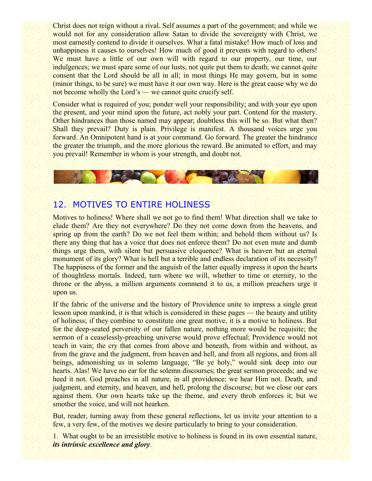Christ does not reign without a rival. Self assumes a part of the government; and while we would not for any consideration allow Satan to divide the sovereignty with Christ, we most earnestly contend to divide it ourselves. What a fatal mistake! How much of loss and unhappiness it causes to ourselves! How much of good it prevents with regard to others! We must have a little of our own will with regard to our property, our time, our indulgences; we must spare some of our lusts, not quite put them to death; we cannot quite consent that the Lord should be all in all; in most things He may govern, but in some (minor things, to be sure) we must have it our own way. Here is the great cause why we do not become wholly the Lord's — we cannot quite crucify self.

Consider what is required of you; ponder well your responsibility; and with your eye upon the present, and your mind upon the future, act nobly your part. Contend for the mastery. Other hindrances than those named may appear; doubtless this will be so. But what then? Shall they prevail? Duty is plain. Privilege is manifest. A thousand voices urge you forward. An Omnipotent hand is at your command. Go forward. The greater the hindrance the greater the triumph, and the more glorious the reward. Be animated to effort, and may you prevail! Remember in whom is your strength, and doubt not.

## 12. MOTIVES TO ENTIRE HOLINESS

ICA LOCAL COMP

Motives to holiness! Where shall we not go to find them! What direction shall we take to elude them? Are they not everywhere? Do they not come down from the heavens, and spring up from the earth? Do we not feel them within; and behold them without us? Is there any thing that has a voice that does not enforce them? Do not even mute and dumb things urge them, with silent but persuasive eloquence? What is heaven but an eternal monument of its glory? What is hell but a terrible and endless declaration of its necessity? The happiness of the former and the anguish of the latter equally impress it upon the hearts of thoughtless mortals. Indeed, turn where we will, whether to time or eternity, to the throne or the abyss, a million arguments commend it to us, a million preachers urge it upon us.

If the fabric of the universe and the history of Providence unite to impress a single great lesson upon mankind, it is that which is considered in these pages — the beauty and utility of holiness; if they combine to constitute one great motive, it is a motive to holiness. But for the deep-seated perversity of our fallen nature, nothing more would be requisite; the sermon of a ceaselessly-preaching universe would prove effectual; Providence would not teach in vain; the cry that comes from above and beneath, from within and without, as from the grave and the judgment, from heaven and hell, and from all regions, and from all beings, admonishing us in solemn language, "Be ye holy," would sink deep into our hearts. Alas! We have no ear for the solemn discourses; the great sermon proceeds; and we heed it not. God preaches in all nature, in all providence; we hear Him not. Death, and judgment, and eternity, and heaven, and hell, prolong the discourse; but we close our ears against them. Our own hearts take up the theme, and every throb enforces it; but we smother the voice, and will not hearken.

But, reader, turning away from these general reflections, let us invite your attention to a few, a very few, of the motives we desire particularly to bring to your consideration.

1. What ought to be an irresistible motive to holiness is found in its own essential nature, *its intrinsic excellence and glory*.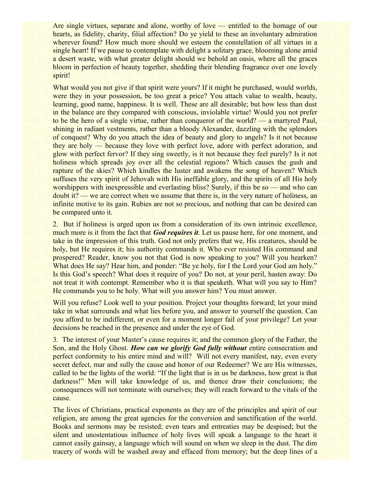Are single virtues, separate and alone, worthy of love — entitled to the homage of our hearts, as fidelity, charity, filial affection? Do ye yield to these an involuntary admiration wherever found? How much more should we esteem the constellation of all virtues in a single heart! If we pause to contemplate with delight a solitary grace, blooming alone amid a desert waste, with what greater delight should we behold an oasis, where all the graces bloom in perfection of beauty together, shedding their blending fragrance over one lovely spirit!

What would you not give if that spirit were yours? If it might be purchased, would worlds, were they in your possession, be too great a price? You attach value to wealth, beauty, learning, good name, happiness. It is well. These are all desirable; but how less than dust in the balance are they compared with conscious, inviolable virtue! Would you not prefer to be the hero of a single virtue, rather than conqueror of the world? — a martyred Paul, shining in radiant vestments, rather than a bloody Alexander, dazzling with the splendors of conquest? Why do you attach the idea of beauty and glory to angels? Is it not because they are holy — because they love with perfect love, adore with perfect adoration, and glow with perfect fervor? If they sing sweetly, is it not because they feel purely? Is it not holiness which spreads joy over all the celestial regions? Which causes the gush and rapture of the skies? Which kindles the luster and awakens the song of heaven? Which suffuses the very spirit of Jehovah with His ineffable glory, and the spirits of all His holy worshippers with inexpressible and everlasting bliss? Surely, if this be so — and who can doubt it? — we are correct when we assume that there is, in the very nature of holiness, an infinite motive to its gain. Rubies are not so precious, and nothing that can be desired can be compared unto it.

2. But if holiness is urged upon us from a consideration of its own intrinsic excellence, much more is it from the fact that *God requires it*. Let us pause here, for one moment, and take in the impression of this truth. God not only prefers that we, His creatures, should be holy, but He requires it; his authority commands it. Who ever resisted His command and prospered? Reader, know you not that God is now speaking to you? Will you hearken? What does He say? Hear him, and ponder: "Be ye holy, for I the Lord your God am holy." Is this God's speech? What does it require of you? Do not, at your peril, hasten away: Do not treat it with contempt. Remember who it is that speaketh. What will you say to Him? He commands you to be holy. What will you answer him? You must answer.

Will you refuse? Look well to your position. Project your thoughts forward; let your mind take in what surrounds and what lies before you, and answer to yourself the question. Can you afford to be indifferent, or even for a moment longer fail of your privilege? Let your decisions be reached in the presence and under the eye of God.

3. The interest of your Master's cause requires it; and the common glory of the Father, the Son, and the Holy Ghost. *How can we glorify God fully without* entire consecration and perfect conformity to his entire mind and will? Will not every manifest, nay, even every secret defect, mar and sully the cause and honor of our Redeemer? We are His witnesses, called to be the lights of the world: "If the light that is in us be darkness, how great is that darkness!" Men will take knowledge of us, and thence draw their conclusions; the consequences will not terminate with ourselves; they will reach forward to the vitals of the cause.

The lives of Christians, practical exponents as they are of the principles and spirit of our religion, are among the great agencies for the conversion and sanctification of the world. Books and sermons may be resisted; even tears and entreaties may be despised; but the silent and unostentatious influence of holy lives will speak a language to the heart it cannot easily gainsay, a language which will sound on when we sleep in the dust. The dim tracery of words will be washed away and effaced from memory; but the deep lines of a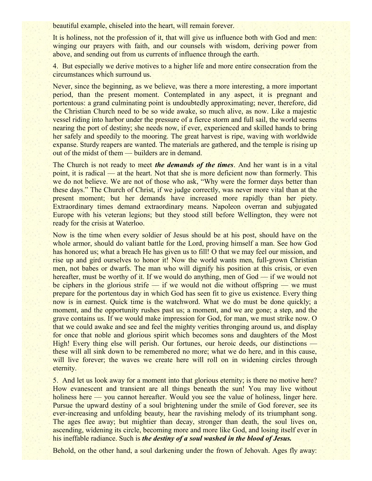beautiful example, chiseled into the heart, will remain forever.

It is holiness, not the profession of it, that will give us influence both with God and men: winging our prayers with faith, and our counsels with wisdom, deriving power from above, and sending out from us currents of influence through the earth.

4. But especially we derive motives to a higher life and more entire consecration from the circumstances which surround us.

Never, since the beginning, as we believe, was there a more interesting, a more important period, than the present moment. Contemplated in any aspect, it is pregnant and portentous: a grand culminating point is undoubtedly approximating; never, therefore, did the Christian Church need to be so wide awake, so much alive, as now. Like a majestic vessel riding into harbor under the pressure of a fierce storm and full sail, the world seems nearing the port of destiny; she needs now, if ever, experienced and skilled hands to bring her safely and speedily to the mooring. The great harvest is ripe, waving with worldwide expanse. Sturdy reapers are wanted. The materials are gathered, and the temple is rising up out of the midst of them — builders are in demand.

The Church is not ready to meet *the demands of the times*. And her want is in a vital point, it is radical — at the heart. Not that she is more deficient now than formerly. This we do not believe. We are not of those who ask, "Why were the former days better than these days." The Church of Christ, if we judge correctly, was never more vital than at the present moment; but her demands have increased more rapidly than her piety. Extraordinary times demand extraordinary means. Napoleon overran and subjugated Europe with his veteran legions; but they stood still before Wellington, they were not ready for the crisis at Waterloo.

Now is the time when every soldier of Jesus should be at his post, should have on the whole armor, should do valiant battle for the Lord, proving himself a man. See how God has honored us; what a breach He has given us to fill! O that we may feel our mission, and rise up and gird ourselves to honor it! Now the world wants men, full-grown Christian men, not babes or dwarfs. The man who will dignify his position at this crisis, or even hereafter, must be worthy of it. If we would do anything, men of God — if we would not be ciphers in the glorious strife — if we would not die without offspring — we must prepare for the portentous day in which God has seen fit to give us existence. Every thing now is in earnest. Quick time is the watchword. What we do must be done quickly; a moment, and the opportunity rushes past us; a moment, and we are gone; a step, and the grave contains us. If we would make impression for God, for man, we must strike now. O that we could awake and see and feel the mighty verities thronging around us, and display for once that noble and glorious spirit which becomes sons and daughters of the Most High! Every thing else will perish. Our fortunes, our heroic deeds, our distinctions these will all sink down to be remembered no more; what we do here, and in this cause, will live forever; the waves we create here will roll on in widening circles through eternity.

5. And let us look away for a moment into that glorious eternity; is there no motive here? How evanescent and transient are all things beneath the sun! You may live without holiness here — you cannot hereafter. Would you see the value of holiness, linger here. Pursue the upward destiny of a soul brightening under the smile of God forever, see its ever-increasing and unfolding beauty, hear the ravishing melody of its triumphant song. The ages flee away; but mightier than decay, stronger than death, the soul lives on, ascending, widening its circle, becoming more and more like God, and losing itself ever in his ineffable radiance. Such is *the destiny of a soul washed in the blood of Jesus.*

Behold, on the other hand, a soul darkening under the frown of Jehovah. Ages fly away: